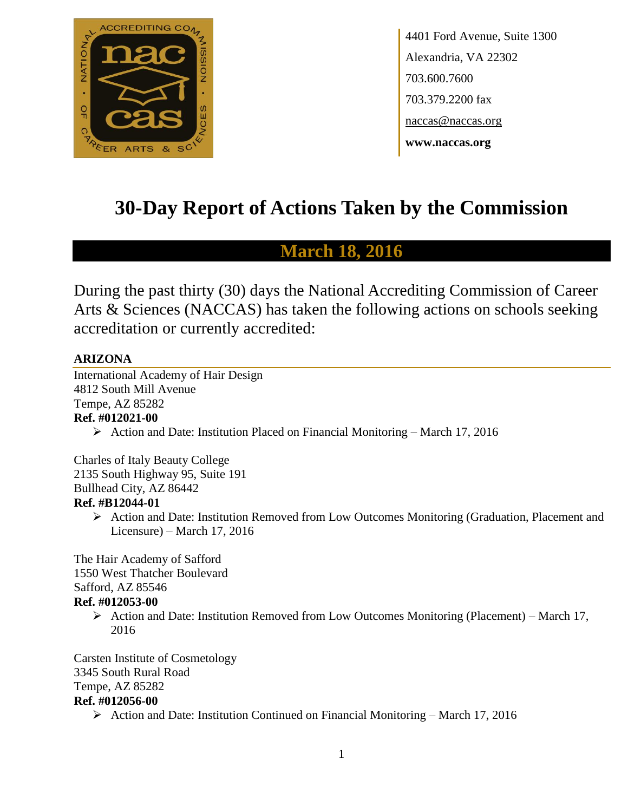

4401 Ford Avenue, Suite 1300 Alexandria, VA 22302 703.600.7600 703.379.2200 fax naccas@naccas.org **www.naccas.org**

# **30-Day Report of Actions Taken by the Commission**

# **March 18, 2016**

During the past thirty (30) days the National Accrediting Commission of Career Arts & Sciences (NACCAS) has taken the following actions on schools seeking accreditation or currently accredited:

#### **ARIZONA**

International Academy of Hair Design 4812 South Mill Avenue Tempe, AZ 85282 **Ref. #012021-00**

 $\triangleright$  Action and Date: Institution Placed on Financial Monitoring – March 17, 2016

Charles of Italy Beauty College 2135 South Highway 95, Suite 191 Bullhead City, AZ 86442 **Ref. #B12044-01**

 Action and Date: Institution Removed from Low Outcomes Monitoring (Graduation, Placement and Licensure) – March 17, 2016

The Hair Academy of Safford 1550 West Thatcher Boulevard Safford, AZ 85546

#### **Ref. #012053-00**

Action and Date: Institution Removed from Low Outcomes Monitoring (Placement) – March 17, 2016

Carsten Institute of Cosmetology 3345 South Rural Road Tempe, AZ 85282

#### **Ref. #012056-00**

 $\triangleright$  Action and Date: Institution Continued on Financial Monitoring – March 17, 2016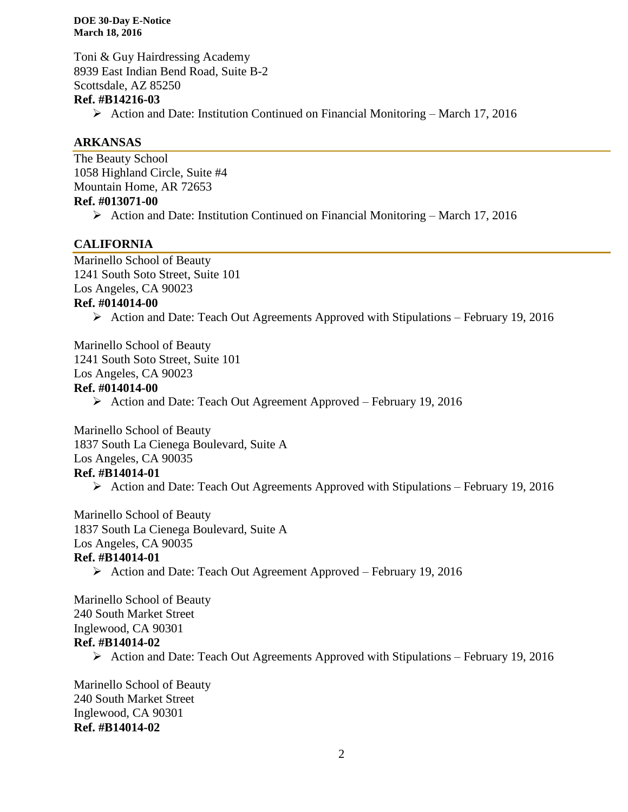Toni & Guy Hairdressing Academy 8939 East Indian Bend Road, Suite B-2 Scottsdale, AZ 85250

#### **Ref. #B14216-03**

 $\triangleright$  Action and Date: Institution Continued on Financial Monitoring – March 17, 2016

#### **ARKANSAS**

The Beauty School 1058 Highland Circle, Suite #4 Mountain Home, AR 72653 **Ref. #013071-00**  $\triangleright$  Action and Date: Institution Continued on Financial Monitoring – March 17, 2016

#### **CALIFORNIA**

Marinello School of Beauty 1241 South Soto Street, Suite 101 Los Angeles, CA 90023 **Ref. #014014-00**

 $\triangleright$  Action and Date: Teach Out Agreements Approved with Stipulations – February 19, 2016

Marinello School of Beauty 1241 South Soto Street, Suite 101

Los Angeles, CA 90023

#### **Ref. #014014-00**

Action and Date: Teach Out Agreement Approved – February 19, 2016

Marinello School of Beauty 1837 South La Cienega Boulevard, Suite A Los Angeles, CA 90035 **Ref. #B14014-01**

Action and Date: Teach Out Agreements Approved with Stipulations – February 19, 2016

Marinello School of Beauty 1837 South La Cienega Boulevard, Suite A

Los Angeles, CA 90035

#### **Ref. #B14014-01**

Action and Date: Teach Out Agreement Approved – February 19, 2016

Marinello School of Beauty 240 South Market Street Inglewood, CA 90301 **Ref. #B14014-02**

Action and Date: Teach Out Agreements Approved with Stipulations – February 19, 2016

Marinello School of Beauty 240 South Market Street Inglewood, CA 90301 **Ref. #B14014-02**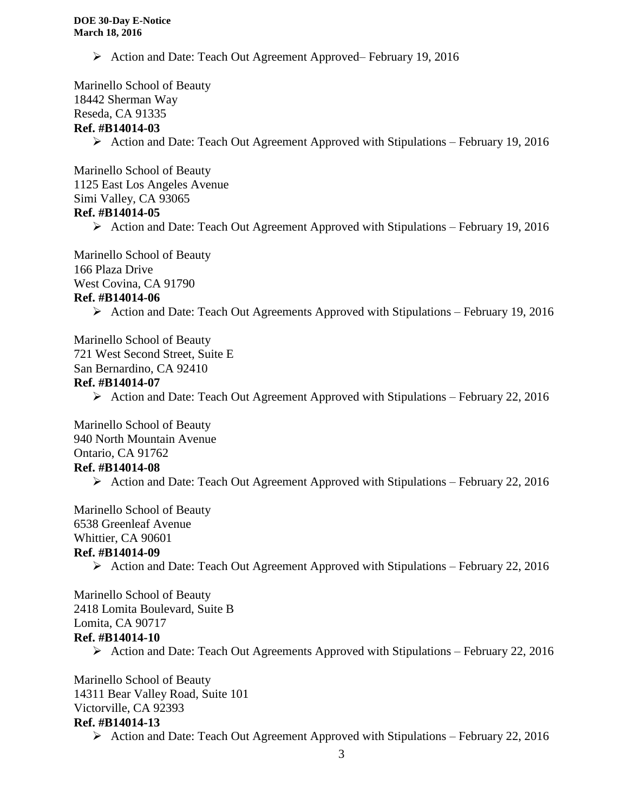▶ Action and Date: Teach Out Agreement Approved– February 19, 2016

Marinello School of Beauty 18442 Sherman Way Reseda, CA 91335

#### **Ref. #B14014-03**

Action and Date: Teach Out Agreement Approved with Stipulations – February 19, 2016

Marinello School of Beauty 1125 East Los Angeles Avenue Simi Valley, CA 93065 **Ref. #B14014-05**

Action and Date: Teach Out Agreement Approved with Stipulations – February 19, 2016

Marinello School of Beauty 166 Plaza Drive West Covina, CA 91790

### **Ref. #B14014-06**

 $\triangleright$  Action and Date: Teach Out Agreements Approved with Stipulations – February 19, 2016

Marinello School of Beauty 721 West Second Street, Suite E San Bernardino, CA 92410 **Ref. #B14014-07**

Action and Date: Teach Out Agreement Approved with Stipulations – February 22, 2016

Marinello School of Beauty 940 North Mountain Avenue Ontario, CA 91762

# **Ref. #B14014-08**

 $\triangleright$  Action and Date: Teach Out Agreement Approved with Stipulations – February 22, 2016

Marinello School of Beauty 6538 Greenleaf Avenue Whittier, CA 90601 **Ref. #B14014-09**

 $\triangleright$  Action and Date: Teach Out Agreement Approved with Stipulations – February 22, 2016

Marinello School of Beauty 2418 Lomita Boulevard, Suite B Lomita, CA 90717 **Ref. #B14014-10**

 $\triangleright$  Action and Date: Teach Out Agreements Approved with Stipulations – February 22, 2016

Marinello School of Beauty 14311 Bear Valley Road, Suite 101 Victorville, CA 92393 **Ref. #B14014-13**

 $\triangleright$  Action and Date: Teach Out Agreement Approved with Stipulations – February 22, 2016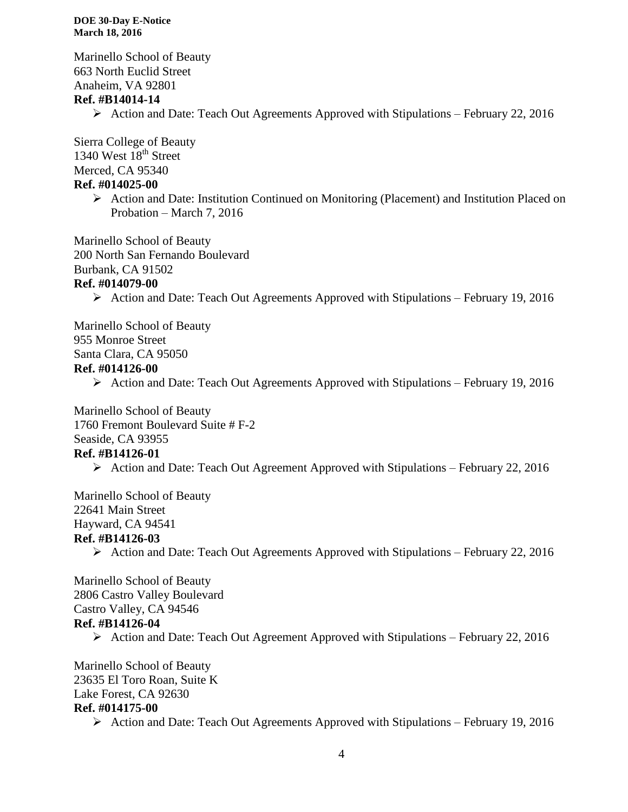Marinello School of Beauty 663 North Euclid Street Anaheim, VA 92801 **Ref. #B14014-14**

Action and Date: Teach Out Agreements Approved with Stipulations – February 22, 2016

Sierra College of Beauty 1340 West  $18<sup>th</sup>$  Street Merced, CA 95340

#### **Ref. #014025-00**

 $\triangleright$  Action and Date: Institution Continued on Monitoring (Placement) and Institution Placed on Probation – March 7, 2016

Marinello School of Beauty

200 North San Fernando Boulevard

Burbank, CA 91502

#### **Ref. #014079-00**

Action and Date: Teach Out Agreements Approved with Stipulations – February 19, 2016

Marinello School of Beauty 955 Monroe Street Santa Clara, CA 95050 **Ref. #014126-00**

 $\triangleright$  Action and Date: Teach Out Agreements Approved with Stipulations – February 19, 2016

Marinello School of Beauty 1760 Fremont Boulevard Suite # F-2 Seaside, CA 93955 **Ref. #B14126-01**

 $\triangleright$  Action and Date: Teach Out Agreement Approved with Stipulations – February 22, 2016

Marinello School of Beauty 22641 Main Street Hayward, CA 94541 **Ref. #B14126-03**

 $\triangleright$  Action and Date: Teach Out Agreements Approved with Stipulations – February 22, 2016

Marinello School of Beauty 2806 Castro Valley Boulevard Castro Valley, CA 94546 **Ref. #B14126-04**

 $\triangleright$  Action and Date: Teach Out Agreement Approved with Stipulations – February 22, 2016

Marinello School of Beauty 23635 El Toro Roan, Suite K Lake Forest, CA 92630 **Ref. #014175-00**

 $\triangleright$  Action and Date: Teach Out Agreements Approved with Stipulations – February 19, 2016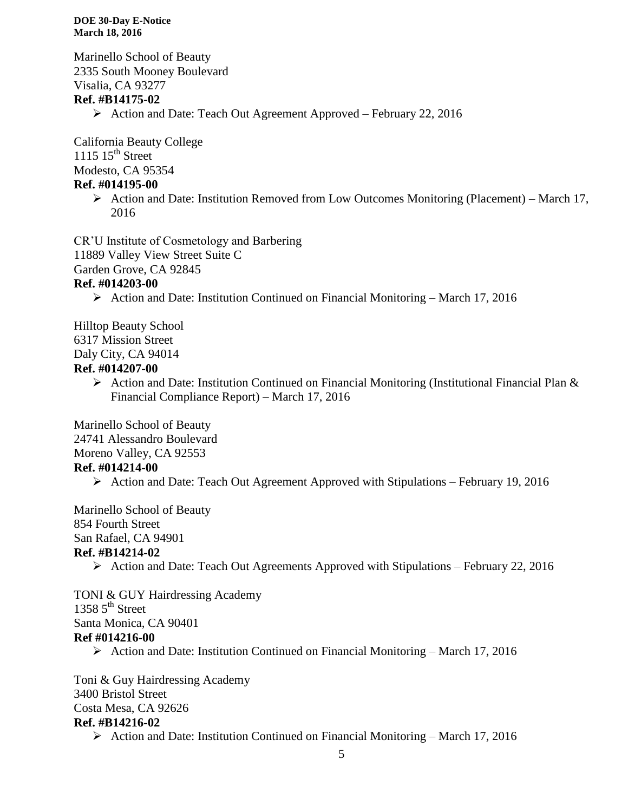Marinello School of Beauty 2335 South Mooney Boulevard Visalia, CA 93277

#### **Ref. #B14175-02**

Action and Date: Teach Out Agreement Approved – February 22, 2016

California Beauty College 1115  $15^{th}$  Street

Modesto, CA 95354

#### **Ref. #014195-00**

 $\triangleright$  Action and Date: Institution Removed from Low Outcomes Monitoring (Placement) – March 17, 2016

CR'U Institute of Cosmetology and Barbering

11889 Valley View Street Suite C

Garden Grove, CA 92845

#### **Ref. #014203-00**

Action and Date: Institution Continued on Financial Monitoring – March 17, 2016

Hilltop Beauty School 6317 Mission Street Daly City, CA 94014

#### **Ref. #014207-00**

 $\triangleright$  Action and Date: Institution Continued on Financial Monitoring (Institutional Financial Plan & Financial Compliance Report) – March 17, 2016

Marinello School of Beauty 24741 Alessandro Boulevard Moreno Valley, CA 92553 **Ref. #014214-00**

 $\triangleright$  Action and Date: Teach Out Agreement Approved with Stipulations – February 19, 2016

Marinello School of Beauty 854 Fourth Street San Rafael, CA 94901

#### **Ref. #B14214-02**

Action and Date: Teach Out Agreements Approved with Stipulations – February 22, 2016

TONI & GUY Hairdressing Academy 1358  $5<sup>th</sup>$  Street Santa Monica, CA 90401 **Ref #014216-00**

 $\triangleright$  Action and Date: Institution Continued on Financial Monitoring – March 17, 2016

Toni & Guy Hairdressing Academy 3400 Bristol Street Costa Mesa, CA 92626 **Ref. #B14216-02**

 $\triangleright$  Action and Date: Institution Continued on Financial Monitoring – March 17, 2016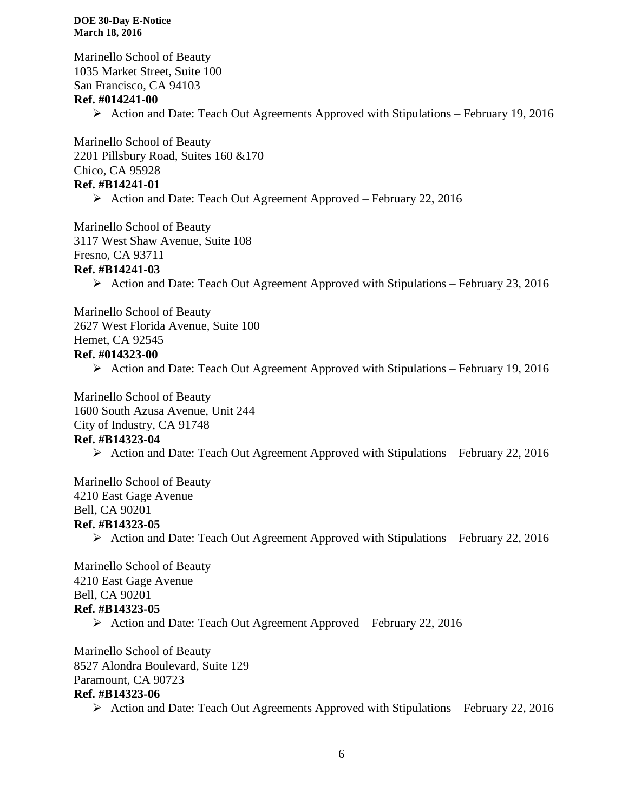Marinello School of Beauty 1035 Market Street, Suite 100 San Francisco, CA 94103 **Ref. #014241-00** Action and Date: Teach Out Agreements Approved with Stipulations – February 19, 2016

Marinello School of Beauty 2201 Pillsbury Road, Suites 160 &170 Chico, CA 95928 **Ref. #B14241-01**

 $\triangleright$  Action and Date: Teach Out Agreement Approved – February 22, 2016

Marinello School of Beauty 3117 West Shaw Avenue, Suite 108 Fresno, CA 93711

#### **Ref. #B14241-03**

Action and Date: Teach Out Agreement Approved with Stipulations – February 23, 2016

Marinello School of Beauty 2627 West Florida Avenue, Suite 100 Hemet, CA 92545 **Ref. #014323-00**

 $\triangleright$  Action and Date: Teach Out Agreement Approved with Stipulations – February 19, 2016

Marinello School of Beauty 1600 South Azusa Avenue, Unit 244 City of Industry, CA 91748 **Ref. #B14323-04**

 $\triangleright$  Action and Date: Teach Out Agreement Approved with Stipulations – February 22, 2016

Marinello School of Beauty 4210 East Gage Avenue Bell, CA 90201 **Ref. #B14323-05**

Action and Date: Teach Out Agreement Approved with Stipulations – February 22, 2016

Marinello School of Beauty 4210 East Gage Avenue Bell, CA 90201 **Ref. #B14323-05**

Action and Date: Teach Out Agreement Approved – February 22, 2016

Marinello School of Beauty 8527 Alondra Boulevard, Suite 129 Paramount, CA 90723 **Ref. #B14323-06**

 $\triangleright$  Action and Date: Teach Out Agreements Approved with Stipulations – February 22, 2016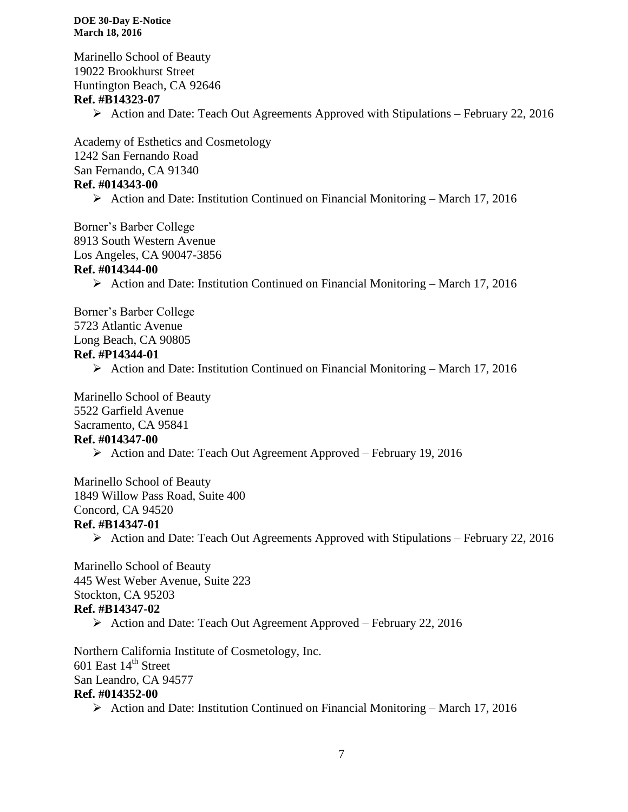Marinello School of Beauty 19022 Brookhurst Street Huntington Beach, CA 92646 **Ref. #B14323-07** Action and Date: Teach Out Agreements Approved with Stipulations – February 22, 2016

Academy of Esthetics and Cosmetology 1242 San Fernando Road San Fernando, CA 91340 **Ref. #014343-00**

 $\triangleright$  Action and Date: Institution Continued on Financial Monitoring – March 17, 2016

Borner's Barber College 8913 South Western Avenue Los Angeles, CA 90047-3856

#### **Ref. #014344-00**

 $\triangleright$  Action and Date: Institution Continued on Financial Monitoring – March 17, 2016

Borner's Barber College 5723 Atlantic Avenue Long Beach, CA 90805 **Ref. #P14344-01**

Action and Date: Institution Continued on Financial Monitoring – March 17, 2016

Marinello School of Beauty 5522 Garfield Avenue Sacramento, CA 95841 **Ref. #014347-00**

Action and Date: Teach Out Agreement Approved – February 19, 2016

Marinello School of Beauty 1849 Willow Pass Road, Suite 400 Concord, CA 94520

### **Ref. #B14347-01**

Action and Date: Teach Out Agreements Approved with Stipulations – February 22, 2016

Marinello School of Beauty 445 West Weber Avenue, Suite 223 Stockton, CA 95203 **Ref. #B14347-02**

Action and Date: Teach Out Agreement Approved – February 22, 2016

Northern California Institute of Cosmetology, Inc. 601 East  $14^{\text{th}}$  Street San Leandro, CA 94577 **Ref. #014352-00**

 $\triangleright$  Action and Date: Institution Continued on Financial Monitoring – March 17, 2016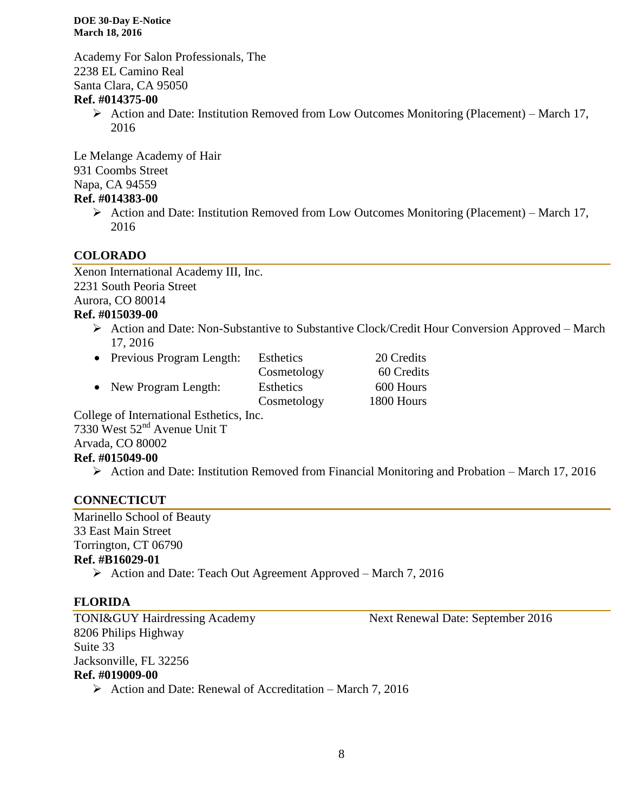Academy For Salon Professionals, The 2238 EL Camino Real Santa Clara, CA 95050

#### **Ref. #014375-00**

 $\triangleright$  Action and Date: Institution Removed from Low Outcomes Monitoring (Placement) – March 17, 2016

Le Melange Academy of Hair 931 Coombs Street Napa, CA 94559

### **Ref. #014383-00**

 $\triangleright$  Action and Date: Institution Removed from Low Outcomes Monitoring (Placement) – March 17, 2016

#### **COLORADO**

Xenon International Academy III, Inc. 2231 South Peoria Street Aurora, CO 80014 **Ref. #015039-00**

 Action and Date: Non-Substantive to Substantive Clock/Credit Hour Conversion Approved – March 17, 2016

| • Previous Program Length: | Esthetics   | 20 Credits |
|----------------------------|-------------|------------|
|                            | Cosmetology | 60 Credits |
| • New Program Length:      | Esthetics   | 600 Hours  |
|                            | Cosmetology | 1800 Hours |
|                            |             |            |

College of International Esthetics, Inc. 7330 West 52nd Avenue Unit T Arvada, CO 80002

#### **Ref. #015049-00**

 $\triangleright$  Action and Date: Institution Removed from Financial Monitoring and Probation – March 17, 2016

### **CONNECTICUT**

Marinello School of Beauty 33 East Main Street Torrington, CT 06790 **Ref. #B16029-01**

Action and Date: Teach Out Agreement Approved – March 7, 2016

### **FLORIDA**

TONI&GUY Hairdressing Academy Next Renewal Date: September 2016 8206 Philips Highway Suite 33 Jacksonville, FL 32256 **Ref. #019009-00**  $\triangleright$  Action and Date: Renewal of Accreditation – March 7, 2016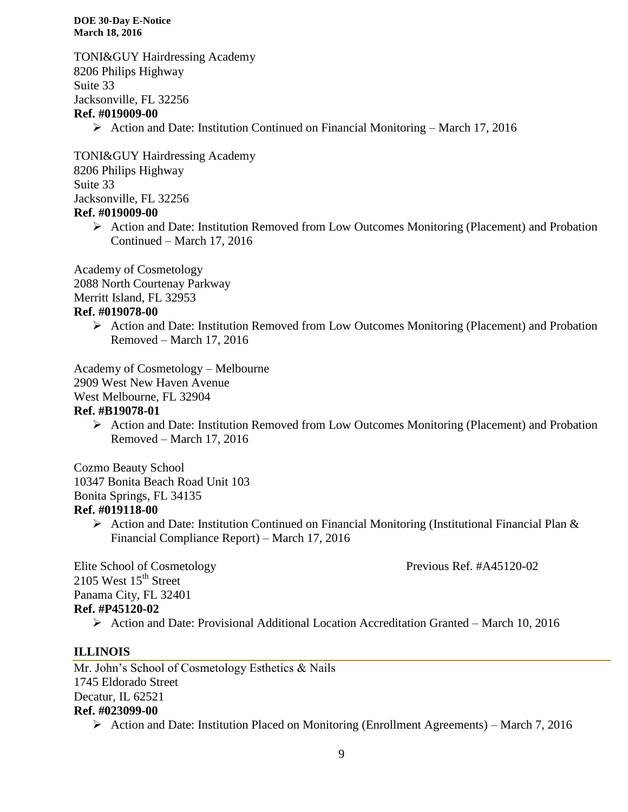TONI&GUY Hairdressing Academy 8206 Philips Highway Suite 33 Jacksonville, FL 32256 **Ref. #019009-00**

 $\triangleright$  Action and Date: Institution Continued on Financial Monitoring – March 17, 2016

TONI&GUY Hairdressing Academy 8206 Philips Highway Suite 33 Jacksonville, FL 32256 **Ref. #019009-00**

> $\triangleright$  Action and Date: Institution Removed from Low Outcomes Monitoring (Placement) and Probation Continued – March 17, 2016

Academy of Cosmetology 2088 North Courtenay Parkway Merritt Island, FL 32953

#### **Ref. #019078-00**

 Action and Date: Institution Removed from Low Outcomes Monitoring (Placement) and Probation Removed – March 17, 2016

Academy of Cosmetology – Melbourne

2909 West New Haven Avenue

West Melbourne, FL 32904

#### **Ref. #B19078-01**

 $\triangleright$  Action and Date: Institution Removed from Low Outcomes Monitoring (Placement) and Probation Removed – March 17, 2016

Cozmo Beauty School 10347 Bonita Beach Road Unit 103 Bonita Springs, FL 34135 **Ref. #019118-00**

> $\triangleright$  Action and Date: Institution Continued on Financial Monitoring (Institutional Financial Plan & Financial Compliance Report) – March 17, 2016

Elite School of Cosmetology Previous Ref. #A45120-02 2105 West  $15<sup>th</sup>$  Street Panama City, FL 32401 **Ref. #P45120-02**

 $\triangleright$  Action and Date: Provisional Additional Location Accreditation Granted – March 10, 2016

### **ILLINOIS**

Mr. John's School of Cosmetology Esthetics & Nails 1745 Eldorado Street Decatur, IL 62521 **Ref. #023099-00** Action and Date: Institution Placed on Monitoring (Enrollment Agreements) – March 7, 2016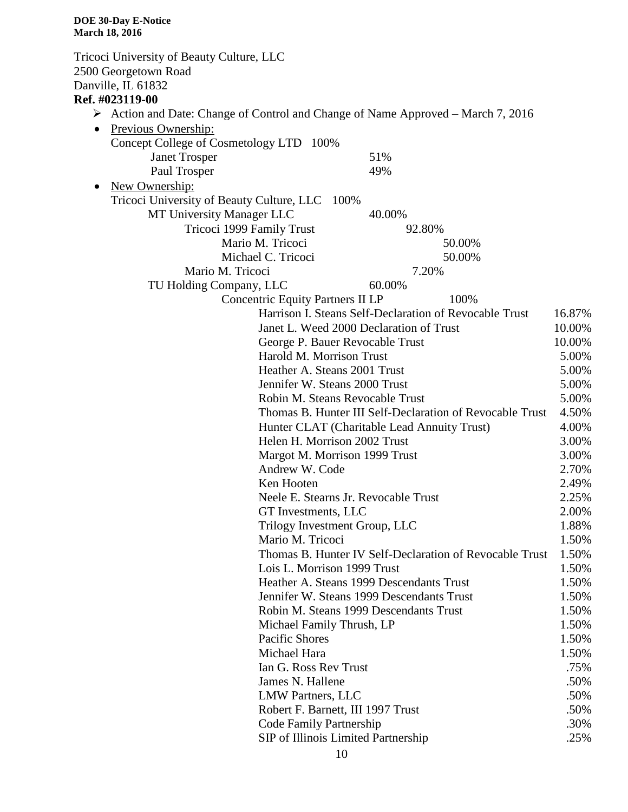Tricoci University of Beauty Culture, LLC 2500 Georgetown Road Danville, IL 61832 **Ref. #023119-00** Action and Date: Change of Control and Change of Name Approved – March 7, 2016 • Previous Ownership: Concept College of Cosmetology LTD 100% Janet Trosper 51% Paul Trosper 49% • New Ownership: Tricoci University of Beauty Culture, LLC 100% MT University Manager LLC 40.00% Tricoci 1999 Family Trust 92.80% Mario M. Tricoci 50.00% Michael C. Tricoci 50.00% Mario M. Tricoci 7.20% TU Holding Company, LLC 60.00% Concentric Equity Partners II LP 100% Harrison I. Steans Self-Declaration of Revocable Trust 16.87% Janet L. Weed 2000 Declaration of Trust 10.00% George P. Bauer Revocable Trust 10.00% Harold M. Morrison Trust 5.00% Heather A. Steans 2001 Trust 5.00% Jennifer W. Steans 2000 Trust 5.00% Robin M. Steans Revocable Trust 5.00% Thomas B. Hunter III Self-Declaration of Revocable Trust 4.50% Hunter CLAT (Charitable Lead Annuity Trust) 4.00% Helen H. Morrison 2002 Trust 3.00% Margot M. Morrison 1999 Trust 3.00% Andrew W. Code 2.70% Ken Hooten 2.49% Neele E. Stearns Jr. Revocable Trust 2.25% GT Investments, LLC 2.00% Trilogy Investment Group, LLC 1.88% Mario M. Tricoci 1.50% Thomas B. Hunter IV Self-Declaration of Revocable Trust 1.50% Lois L. Morrison 1999 Trust 1.50% Heather A. Steans 1999 Descendants Trust 1.50% Jennifer W. Steans 1999 Descendants Trust 1.50% Robin M. Steans 1999 Descendants Trust 1.50% Michael Family Thrush, LP 1.50% Pacific Shores 1.50% Michael Hara 1.50% Ian G. Ross Rev Trust .75% James N. Hallene .50% LMW Partners, LLC .50% Robert F. Barnett, III 1997 Trust .50% Code Family Partnership .30% SIP of Illinois Limited Partnership .25%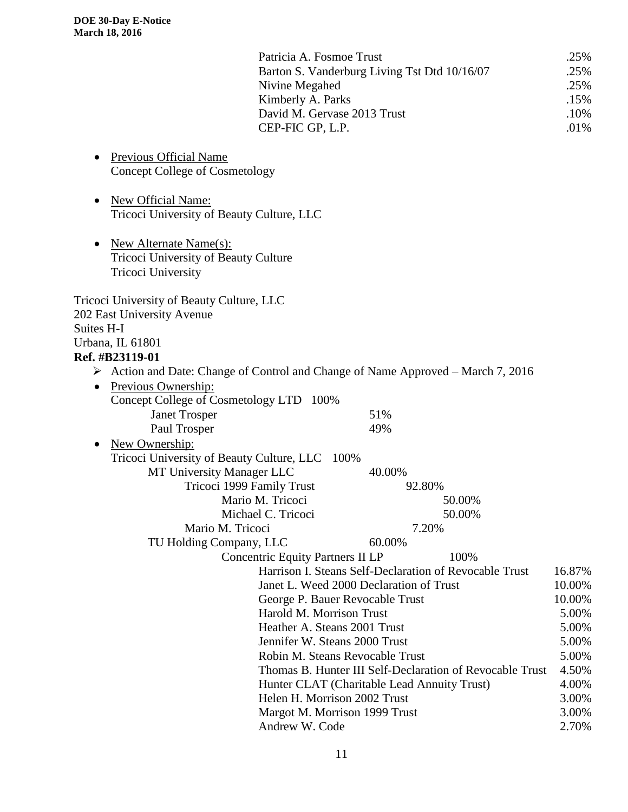|                                                                                                                              | Patricia A. Fosmoe Trust<br>Barton S. Vanderburg Living Tst Dtd 10/16/07<br>Nivine Megahed<br>Kimberly A. Parks<br>David M. Gervase 2013 Trust<br>CEP-FIC GP, L.P. |        |        | .25%<br>.25%<br>.25%<br>.15%<br>.10%<br>.01% |
|------------------------------------------------------------------------------------------------------------------------------|--------------------------------------------------------------------------------------------------------------------------------------------------------------------|--------|--------|----------------------------------------------|
| Previous Official Name<br>٠<br><b>Concept College of Cosmetology</b>                                                         |                                                                                                                                                                    |        |        |                                              |
| New Official Name:<br>$\bullet$<br>Tricoci University of Beauty Culture, LLC                                                 |                                                                                                                                                                    |        |        |                                              |
| <b>New Alternate Name(s):</b><br>$\bullet$<br>Tricoci University of Beauty Culture<br><b>Tricoci University</b>              |                                                                                                                                                                    |        |        |                                              |
| Tricoci University of Beauty Culture, LLC<br>202 East University Avenue<br>Suites H-I<br>Urbana, IL 61801<br>Ref. #B23119-01 |                                                                                                                                                                    |        |        |                                              |
| $\triangleright$ Action and Date: Change of Control and Change of Name Approved – March 7, 2016                              |                                                                                                                                                                    |        |        |                                              |
| Previous Ownership:<br>$\bullet$                                                                                             |                                                                                                                                                                    |        |        |                                              |
| Concept College of Cosmetology LTD 100%                                                                                      |                                                                                                                                                                    |        |        |                                              |
| <b>Janet Trosper</b>                                                                                                         |                                                                                                                                                                    | 51%    |        |                                              |
| Paul Trosper                                                                                                                 |                                                                                                                                                                    | 49%    |        |                                              |
| New Ownership:                                                                                                               |                                                                                                                                                                    |        |        |                                              |
| Tricoci University of Beauty Culture, LLC 100%                                                                               |                                                                                                                                                                    |        |        |                                              |
| MT University Manager LLC                                                                                                    |                                                                                                                                                                    | 40.00% |        |                                              |
| Tricoci 1999 Family Trust                                                                                                    |                                                                                                                                                                    | 92.80% |        |                                              |
|                                                                                                                              | Mario M. Tricoci                                                                                                                                                   |        | 50.00% |                                              |
|                                                                                                                              | Michael C. Tricoci                                                                                                                                                 |        | 50.00% |                                              |
| Mario M. Tricoci                                                                                                             |                                                                                                                                                                    | 7.20%  |        |                                              |
| TU Holding Company, LLC                                                                                                      |                                                                                                                                                                    | 60.00% |        |                                              |
|                                                                                                                              | <b>Concentric Equity Partners II LP</b>                                                                                                                            |        | 100%   |                                              |
|                                                                                                                              | Harrison I. Steans Self-Declaration of Revocable Trust                                                                                                             |        |        | 16.87%                                       |
|                                                                                                                              | Janet L. Weed 2000 Declaration of Trust                                                                                                                            |        |        | 10.00%                                       |
|                                                                                                                              | George P. Bauer Revocable Trust                                                                                                                                    |        |        | 10.00%                                       |
| Harold M. Morrison Trust                                                                                                     |                                                                                                                                                                    | 5.00%  |        |                                              |
| Heather A. Steans 2001 Trust                                                                                                 |                                                                                                                                                                    |        | 5.00%  |                                              |
|                                                                                                                              | Jennifer W. Steans 2000 Trust                                                                                                                                      |        |        | 5.00%                                        |
|                                                                                                                              | Robin M. Steans Revocable Trust                                                                                                                                    |        |        | 5.00%                                        |
|                                                                                                                              | Thomas B. Hunter III Self-Declaration of Revocable Trust                                                                                                           |        |        | 4.50%                                        |
|                                                                                                                              | Hunter CLAT (Charitable Lead Annuity Trust)                                                                                                                        |        |        | 4.00%                                        |
|                                                                                                                              | Helen H. Morrison 2002 Trust                                                                                                                                       |        |        | 3.00%                                        |
|                                                                                                                              | Margot M. Morrison 1999 Trust                                                                                                                                      |        |        | 3.00%                                        |
|                                                                                                                              | Andrew W. Code                                                                                                                                                     |        |        | 2.70%                                        |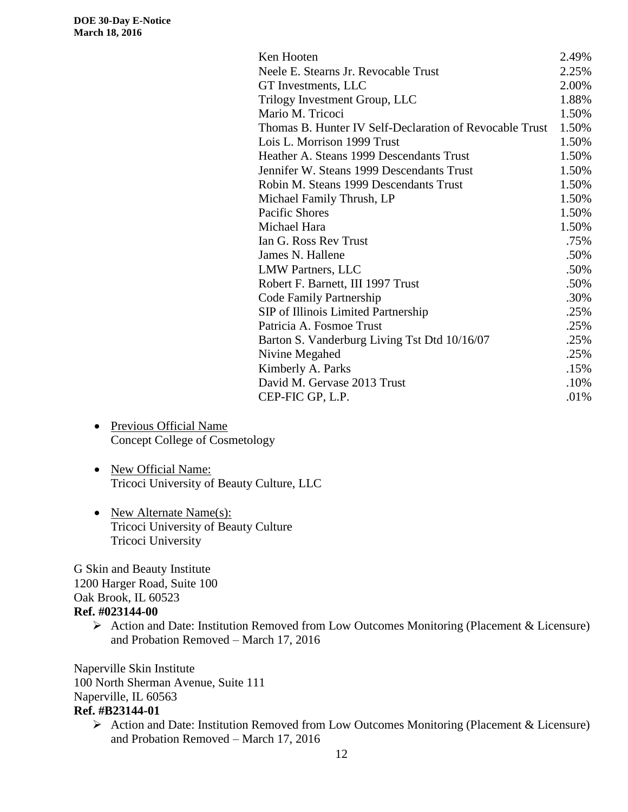| Ken Hooten                                              | 2.49% |
|---------------------------------------------------------|-------|
| Neele E. Stearns Jr. Revocable Trust                    | 2.25% |
| GT Investments, LLC                                     | 2.00% |
| Trilogy Investment Group, LLC                           | 1.88% |
| Mario M. Tricoci                                        | 1.50% |
| Thomas B. Hunter IV Self-Declaration of Revocable Trust | 1.50% |
| Lois L. Morrison 1999 Trust                             | 1.50% |
| Heather A. Steans 1999 Descendants Trust                | 1.50% |
| Jennifer W. Steans 1999 Descendants Trust               | 1.50% |
| Robin M. Steans 1999 Descendants Trust                  | 1.50% |
| Michael Family Thrush, LP                               | 1.50% |
| <b>Pacific Shores</b>                                   | 1.50% |
| Michael Hara                                            | 1.50% |
| Ian G. Ross Rev Trust                                   | .75%  |
| James N. Hallene                                        | .50%  |
| <b>LMW Partners, LLC</b>                                | .50%  |
| Robert F. Barnett, III 1997 Trust                       | .50%  |
| Code Family Partnership                                 | .30%  |
| SIP of Illinois Limited Partnership                     | .25%  |
| Patricia A. Fosmoe Trust                                | .25%  |
| Barton S. Vanderburg Living Tst Dtd 10/16/07            | .25%  |
| Nivine Megahed                                          | .25%  |
| Kimberly A. Parks                                       | .15%  |
| David M. Gervase 2013 Trust                             | .10%  |
| CEP-FIC GP, L.P.                                        | .01%  |

- Previous Official Name Concept College of Cosmetology
- New Official Name: Tricoci University of Beauty Culture, LLC
- New Alternate Name(s): Tricoci University of Beauty Culture Tricoci University

G Skin and Beauty Institute 1200 Harger Road, Suite 100 Oak Brook, IL 60523 **Ref. #023144-00**

> Action and Date: Institution Removed from Low Outcomes Monitoring (Placement & Licensure) and Probation Removed – March 17, 2016

Naperville Skin Institute 100 North Sherman Avenue, Suite 111 Naperville, IL 60563 **Ref. #B23144-01**

 Action and Date: Institution Removed from Low Outcomes Monitoring (Placement & Licensure) and Probation Removed – March 17, 2016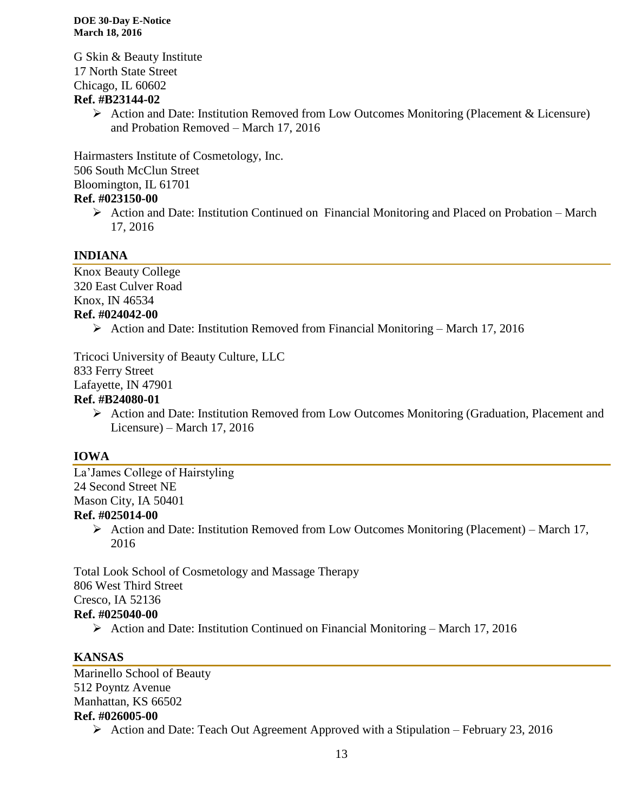G Skin & Beauty Institute 17 North State Street Chicago, IL 60602

### **Ref. #B23144-02**

 $\triangleright$  Action and Date: Institution Removed from Low Outcomes Monitoring (Placement & Licensure) and Probation Removed – March 17, 2016

Hairmasters Institute of Cosmetology, Inc. 506 South McClun Street Bloomington, IL 61701 **Ref. #023150-00**

 $\triangleright$  Action and Date: Institution Continued on Financial Monitoring and Placed on Probation – March 17, 2016

### **INDIANA**

Knox Beauty College 320 East Culver Road Knox, IN 46534 **Ref. #024042-00**

 $\triangleright$  Action and Date: Institution Removed from Financial Monitoring – March 17, 2016

Tricoci University of Beauty Culture, LLC 833 Ferry Street Lafayette, IN 47901

### **Ref. #B24080-01**

 Action and Date: Institution Removed from Low Outcomes Monitoring (Graduation, Placement and Licensure) – March 17, 2016

### **IOWA**

La'James College of Hairstyling 24 Second Street NE Mason City, IA 50401 **Ref. #025014-00**

> $\triangleright$  Action and Date: Institution Removed from Low Outcomes Monitoring (Placement) – March 17, 2016

Total Look School of Cosmetology and Massage Therapy 806 West Third Street Cresco, IA 52136 **Ref. #025040-00**

Action and Date: Institution Continued on Financial Monitoring – March 17, 2016

# **KANSAS**

Marinello School of Beauty 512 Poyntz Avenue Manhattan, KS 66502 **Ref. #026005-00**

 $\triangleright$  Action and Date: Teach Out Agreement Approved with a Stipulation – February 23, 2016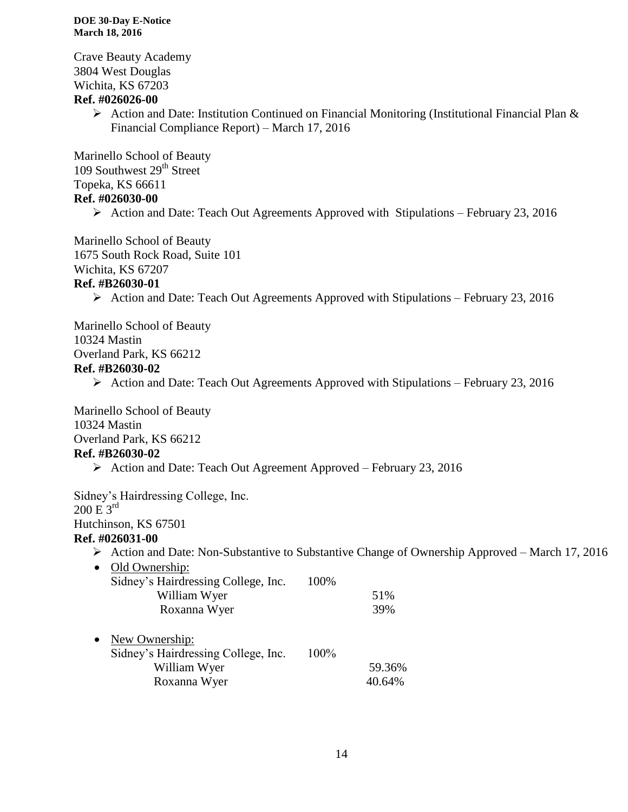Crave Beauty Academy 3804 West Douglas Wichita, KS 67203

#### **Ref. #026026-00**

 $\triangleright$  Action and Date: Institution Continued on Financial Monitoring (Institutional Financial Plan & Financial Compliance Report) – March 17, 2016

Marinello School of Beauty 109 Southwest 29<sup>th</sup> Street Topeka, KS 66611

#### **Ref. #026030-00**

 $\triangleright$  Action and Date: Teach Out Agreements Approved with Stipulations – February 23, 2016

Marinello School of Beauty 1675 South Rock Road, Suite 101 Wichita, KS 67207

#### **Ref. #B26030-01**

Action and Date: Teach Out Agreements Approved with Stipulations – February 23, 2016

Marinello School of Beauty 10324 Mastin Overland Park, KS 66212

#### **Ref. #B26030-02**

 $\triangleright$  Action and Date: Teach Out Agreements Approved with Stipulations – February 23, 2016

Marinello School of Beauty 10324 Mastin Overland Park, KS 66212 **Ref. #B26030-02**

Action and Date: Teach Out Agreement Approved – February 23, 2016

Sidney's Hairdressing College, Inc.  $200 E 3^{rd}$ Hutchinson, KS 67501

#### **Ref. #026031-00**

- $\triangleright$  Action and Date: Non-Substantive to Substantive Change of Ownership Approved March 17, 2016
- Old Ownership: Sidney's Hairdressing College, Inc. 100% William Wyer 51% Roxanna Wyer 39%
- New Ownership: Sidney's Hairdressing College, Inc. 100% William Wyer 59.36% Roxanna Wyer 40.64%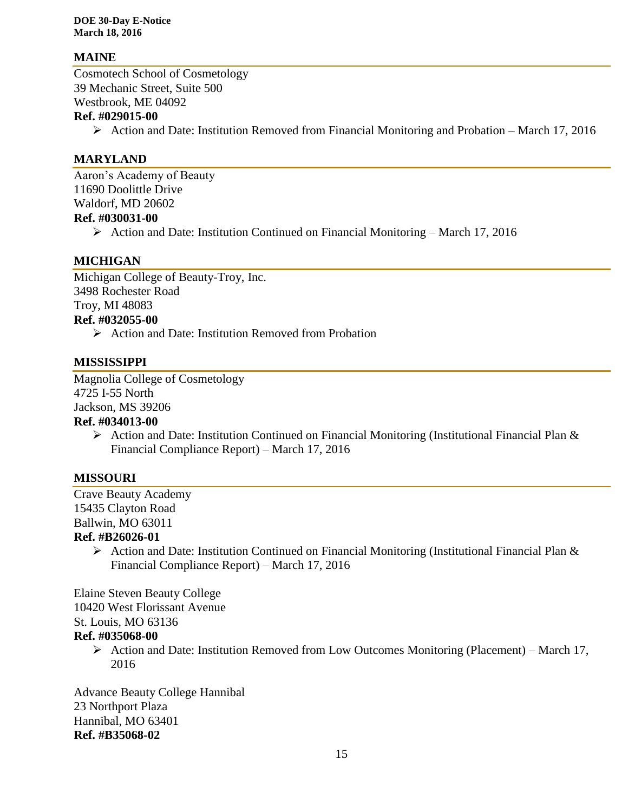#### **MAINE**

Cosmotech School of Cosmetology 39 Mechanic Street, Suite 500 Westbrook, ME 04092

#### **Ref. #029015-00**

 $\triangleright$  Action and Date: Institution Removed from Financial Monitoring and Probation – March 17, 2016

#### **MARYLAND**

Aaron's Academy of Beauty 11690 Doolittle Drive Waldorf, MD 20602 **Ref. #030031-00**

 $\triangleright$  Action and Date: Institution Continued on Financial Monitoring – March 17, 2016

#### **MICHIGAN**

Michigan College of Beauty-Troy, Inc. 3498 Rochester Road Troy, MI 48083 **Ref. #032055-00**

 $\triangleright$  Action and Date: Institution Removed from Probation

#### **MISSISSIPPI**

Magnolia College of Cosmetology 4725 I-55 North Jackson, MS 39206 **Ref. #034013-00**

> $\triangleright$  Action and Date: Institution Continued on Financial Monitoring (Institutional Financial Plan & Financial Compliance Report) – March 17, 2016

#### **MISSOURI**

Crave Beauty Academy 15435 Clayton Road Ballwin, MO 63011

#### **Ref. #B26026-01**

 $\triangleright$  Action and Date: Institution Continued on Financial Monitoring (Institutional Financial Plan & Financial Compliance Report) – March 17, 2016

Elaine Steven Beauty College

10420 West Florissant Avenue

St. Louis, MO 63136

#### **Ref. #035068-00**

Action and Date: Institution Removed from Low Outcomes Monitoring (Placement) – March 17, 2016

Advance Beauty College Hannibal 23 Northport Plaza Hannibal, MO 63401 **Ref. #B35068-02**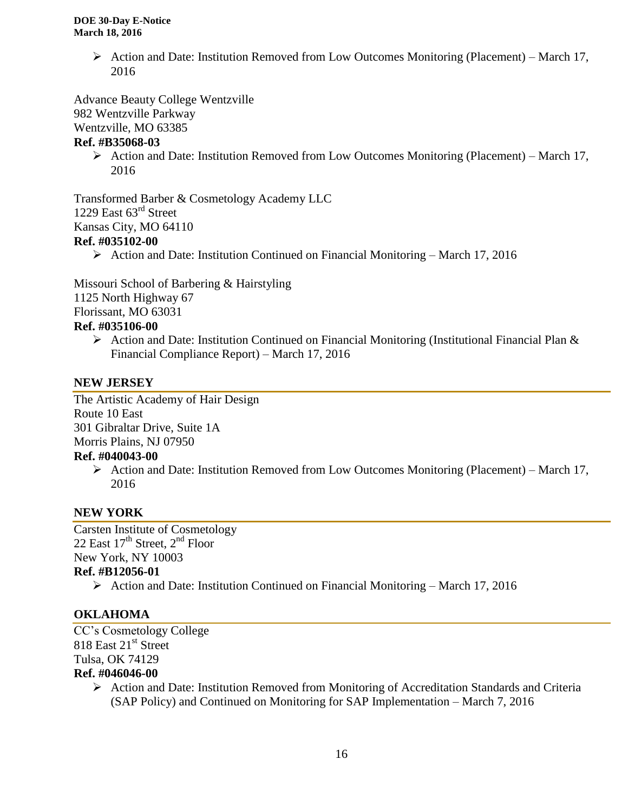Action and Date: Institution Removed from Low Outcomes Monitoring (Placement) – March 17, 2016

Advance Beauty College Wentzville 982 Wentzville Parkway Wentzville, MO 63385

#### **Ref. #B35068-03**

Action and Date: Institution Removed from Low Outcomes Monitoring (Placement) – March 17, 2016

Transformed Barber & Cosmetology Academy LLC 1229 East  $63^{\text{rd}}$  Street Kansas City, MO 64110

#### **Ref. #035102-00**

Action and Date: Institution Continued on Financial Monitoring – March 17, 2016

Missouri School of Barbering & Hairstyling

1125 North Highway 67

Florissant, MO 63031

#### **Ref. #035106-00**

 $\triangleright$  Action and Date: Institution Continued on Financial Monitoring (Institutional Financial Plan & Financial Compliance Report) – March 17, 2016

#### **NEW JERSEY**

The Artistic Academy of Hair Design Route 10 East 301 Gibraltar Drive, Suite 1A Morris Plains, NJ 07950

#### **Ref. #040043-00**

Action and Date: Institution Removed from Low Outcomes Monitoring (Placement) – March 17, 2016

### **NEW YORK**

Carsten Institute of Cosmetology 22 East  $17<sup>th</sup>$  Street,  $2<sup>nd</sup>$  Floor New York, NY 10003 **Ref. #B12056-01**

 $\triangleright$  Action and Date: Institution Continued on Financial Monitoring – March 17, 2016

### **OKLAHOMA**

CC's Cosmetology College 818 East 21<sup>st</sup> Street Tulsa, OK 74129 **Ref. #046046-00**

> Action and Date: Institution Removed from Monitoring of Accreditation Standards and Criteria (SAP Policy) and Continued on Monitoring for SAP Implementation – March 7, 2016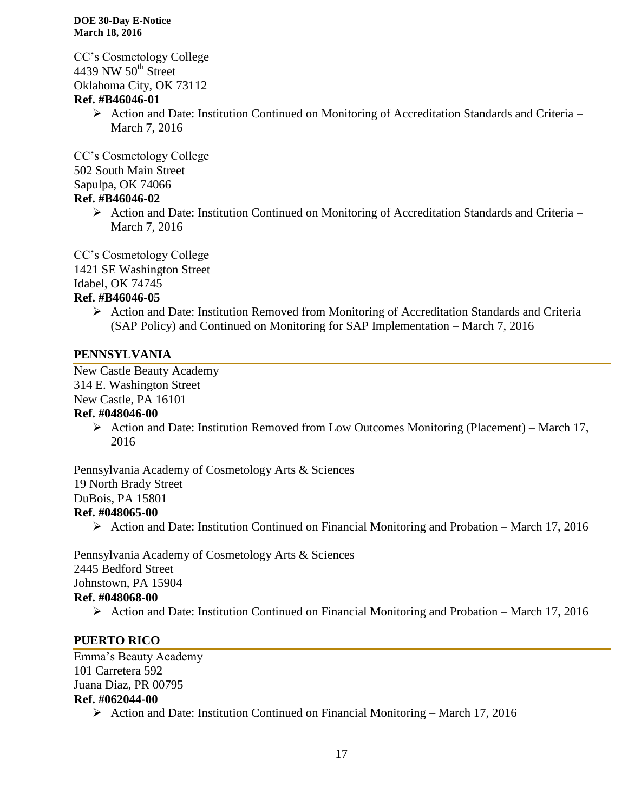CC's Cosmetology College 4439 NW  $50<sup>th</sup>$  Street Oklahoma City, OK 73112

#### **Ref. #B46046-01**

 $\triangleright$  Action and Date: Institution Continued on Monitoring of Accreditation Standards and Criteria – March 7, 2016

CC's Cosmetology College 502 South Main Street Sapulpa, OK 74066

#### **Ref. #B46046-02**

 $\triangleright$  Action and Date: Institution Continued on Monitoring of Accreditation Standards and Criteria – March 7, 2016

CC's Cosmetology College 1421 SE Washington Street Idabel, OK 74745

#### **Ref. #B46046-05**

 $\triangleright$  Action and Date: Institution Removed from Monitoring of Accreditation Standards and Criteria (SAP Policy) and Continued on Monitoring for SAP Implementation – March 7, 2016

#### **PENNSYLVANIA**

New Castle Beauty Academy 314 E. Washington Street New Castle, PA 16101

# **Ref. #048046-00**

Action and Date: Institution Removed from Low Outcomes Monitoring (Placement) – March 17, 2016

Pennsylvania Academy of Cosmetology Arts & Sciences 19 North Brady Street DuBois, PA 15801 **Ref. #048065-00**

Action and Date: Institution Continued on Financial Monitoring and Probation – March 17, 2016

Pennsylvania Academy of Cosmetology Arts & Sciences 2445 Bedford Street Johnstown, PA 15904 **Ref. #048068-00**

Action and Date: Institution Continued on Financial Monitoring and Probation – March 17, 2016

### **PUERTO RICO**

Emma's Beauty Academy 101 Carretera 592 Juana Diaz, PR 00795 **Ref. #062044-00** Action and Date: Institution Continued on Financial Monitoring – March 17, 2016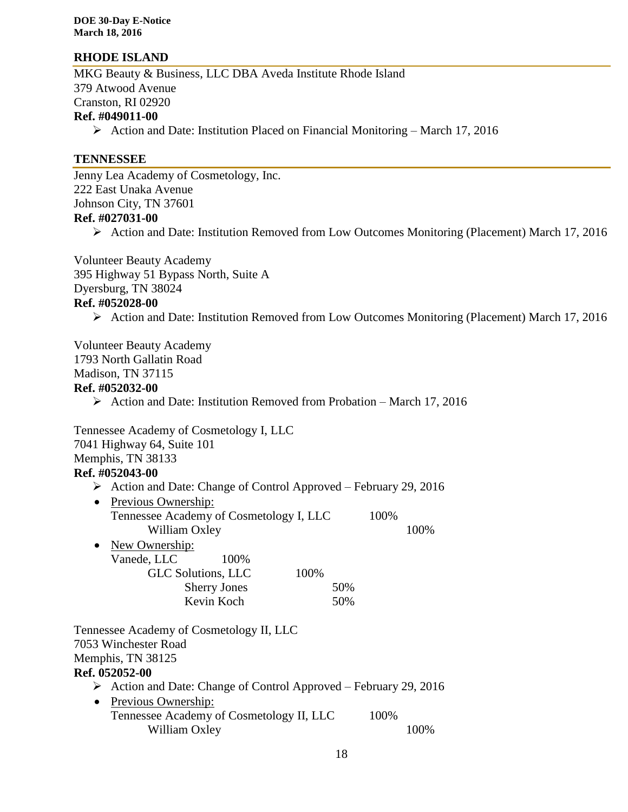#### **RHODE ISLAND**

MKG Beauty & Business, LLC DBA Aveda Institute Rhode Island 379 Atwood Avenue Cranston, RI 02920 **Ref. #049011-00**

Action and Date: Institution Placed on Financial Monitoring – March 17, 2016

#### **TENNESSEE**

Jenny Lea Academy of Cosmetology, Inc. 222 East Unaka Avenue Johnson City, TN 37601 **Ref. #027031-00**

Action and Date: Institution Removed from Low Outcomes Monitoring (Placement) March 17, 2016

Volunteer Beauty Academy 395 Highway 51 Bypass North, Suite A Dyersburg, TN 38024 **Ref. #052028-00**

Action and Date: Institution Removed from Low Outcomes Monitoring (Placement) March 17, 2016

Volunteer Beauty Academy 1793 North Gallatin Road Madison, TN 37115

# **Ref. #052032-00**

 $\triangleright$  Action and Date: Institution Removed from Probation – March 17, 2016

Tennessee Academy of Cosmetology I, LLC 7041 Highway 64, Suite 101 Memphis, TN 38133 **Ref. #052043-00**

- $\triangleright$  Action and Date: Change of Control Approved February 29, 2016
- Previous Ownership: Tennessee Academy of Cosmetology I, LLC 100% William Oxley 100%
- New Ownership: Vanede, LLC 100% GLC Solutions, LLC 100% Sherry Jones 50% Kevin Koch 50%

Tennessee Academy of Cosmetology II, LLC 7053 Winchester Road Memphis, TN 38125

#### **Ref. 052052-00**

- $\triangleright$  Action and Date: Change of Control Approved February 29, 2016
- Previous Ownership: Tennessee Academy of Cosmetology II, LLC 100% William Oxley 100%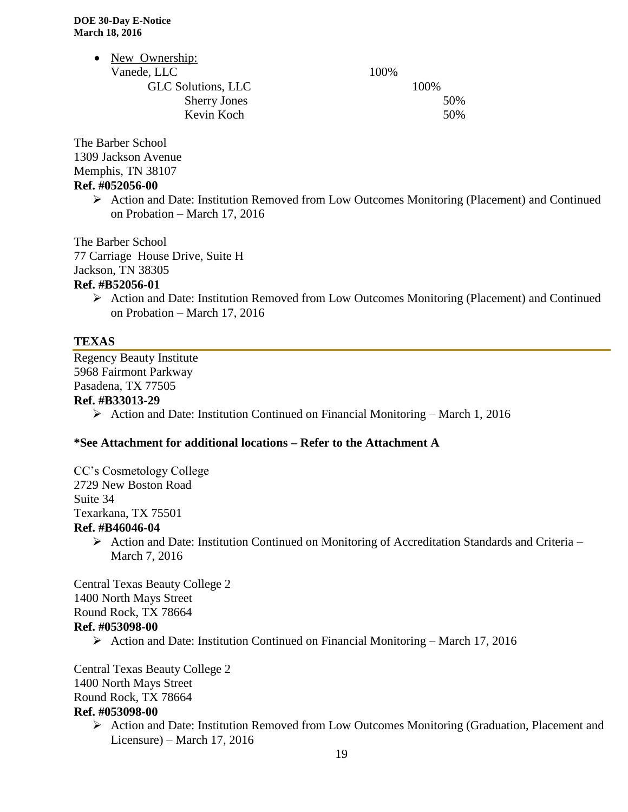| 100% |
|------|
| 100% |
| 50%  |
| 50%  |
|      |

The Barber School 1309 Jackson Avenue Memphis, TN 38107 **Ref. #052056-00**

> Action and Date: Institution Removed from Low Outcomes Monitoring (Placement) and Continued on Probation – March 17, 2016

The Barber School 77 Carriage House Drive, Suite H Jackson, TN 38305

#### **Ref. #B52056-01**

 Action and Date: Institution Removed from Low Outcomes Monitoring (Placement) and Continued on Probation – March 17, 2016

#### **TEXAS**

Regency Beauty Institute 5968 Fairmont Parkway Pasadena, TX 77505 **Ref. #B33013-29**

 $\triangleright$  Action and Date: Institution Continued on Financial Monitoring – March 1, 2016

#### **\*See Attachment for additional locations – Refer to the Attachment A**

CC's Cosmetology College 2729 New Boston Road Suite 34 Texarkana, TX 75501 **Ref. #B46046-04**

> Action and Date: Institution Continued on Monitoring of Accreditation Standards and Criteria – March 7, 2016

Central Texas Beauty College 2 1400 North Mays Street Round Rock, TX 78664 **Ref. #053098-00**

 $\triangleright$  Action and Date: Institution Continued on Financial Monitoring – March 17, 2016

Central Texas Beauty College 2 1400 North Mays Street Round Rock, TX 78664 **Ref. #053098-00**

> Action and Date: Institution Removed from Low Outcomes Monitoring (Graduation, Placement and Licensure) – March 17, 2016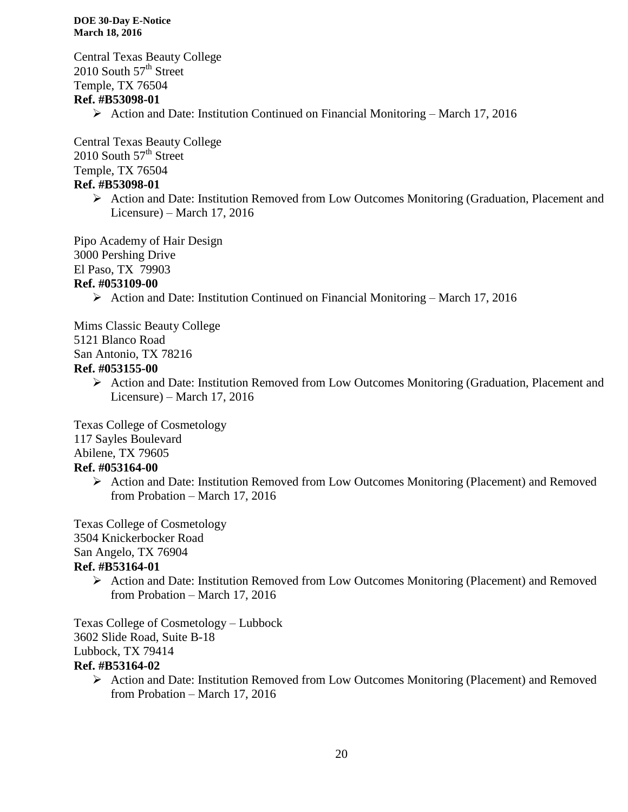Central Texas Beauty College 2010 South  $57<sup>th</sup>$  Street Temple, TX 76504 **Ref. #B53098-01**

 $\triangleright$  Action and Date: Institution Continued on Financial Monitoring – March 17, 2016

Central Texas Beauty College 2010 South  $57<sup>th</sup>$  Street Temple, TX 76504 **Ref. #B53098-01**

> Action and Date: Institution Removed from Low Outcomes Monitoring (Graduation, Placement and Licensure) – March 17, 2016

Pipo Academy of Hair Design 3000 Pershing Drive El Paso, TX 79903 **Ref. #053109-00**

Action and Date: Institution Continued on Financial Monitoring – March 17, 2016

Mims Classic Beauty College

5121 Blanco Road

San Antonio, TX 78216

#### **Ref. #053155-00**

 Action and Date: Institution Removed from Low Outcomes Monitoring (Graduation, Placement and Licensure) – March 17, 2016

Texas College of Cosmetology

117 Sayles Boulevard

Abilene, TX 79605

### **Ref. #053164-00**

 Action and Date: Institution Removed from Low Outcomes Monitoring (Placement) and Removed from Probation – March 17, 2016

Texas College of Cosmetology 3504 Knickerbocker Road San Angelo, TX 76904 **Ref. #B53164-01**

> Action and Date: Institution Removed from Low Outcomes Monitoring (Placement) and Removed from Probation – March 17, 2016

Texas College of Cosmetology – Lubbock 3602 Slide Road, Suite B-18 Lubbock, TX 79414 **Ref. #B53164-02**

 Action and Date: Institution Removed from Low Outcomes Monitoring (Placement) and Removed from Probation – March 17, 2016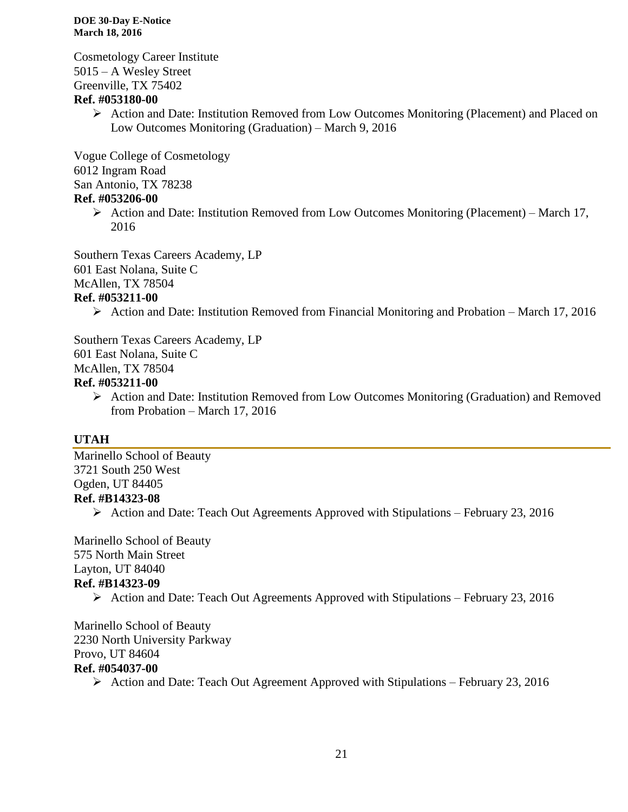Cosmetology Career Institute 5015 – A Wesley Street Greenville, TX 75402

#### **Ref. #053180-00**

 $\triangleright$  Action and Date: Institution Removed from Low Outcomes Monitoring (Placement) and Placed on Low Outcomes Monitoring (Graduation) – March 9, 2016

Vogue College of Cosmetology 6012 Ingram Road San Antonio, TX 78238

### **Ref. #053206-00**

 $\triangleright$  Action and Date: Institution Removed from Low Outcomes Monitoring (Placement) – March 17, 2016

Southern Texas Careers Academy, LP 601 East Nolana, Suite C McAllen, TX 78504

#### **Ref. #053211-00**

Action and Date: Institution Removed from Financial Monitoring and Probation – March 17, 2016

Southern Texas Careers Academy, LP 601 East Nolana, Suite C McAllen, TX 78504

#### **Ref. #053211-00**

 $\triangleright$  Action and Date: Institution Removed from Low Outcomes Monitoring (Graduation) and Removed from Probation – March 17, 2016

### **UTAH**

Marinello School of Beauty 3721 South 250 West Ogden, UT 84405 **Ref. #B14323-08**

 $\triangleright$  Action and Date: Teach Out Agreements Approved with Stipulations – February 23, 2016

Marinello School of Beauty 575 North Main Street Layton, UT 84040 **Ref. #B14323-09**

 $\triangleright$  Action and Date: Teach Out Agreements Approved with Stipulations – February 23, 2016

Marinello School of Beauty 2230 North University Parkway Provo, UT 84604 **Ref. #054037-00**

Action and Date: Teach Out Agreement Approved with Stipulations – February 23, 2016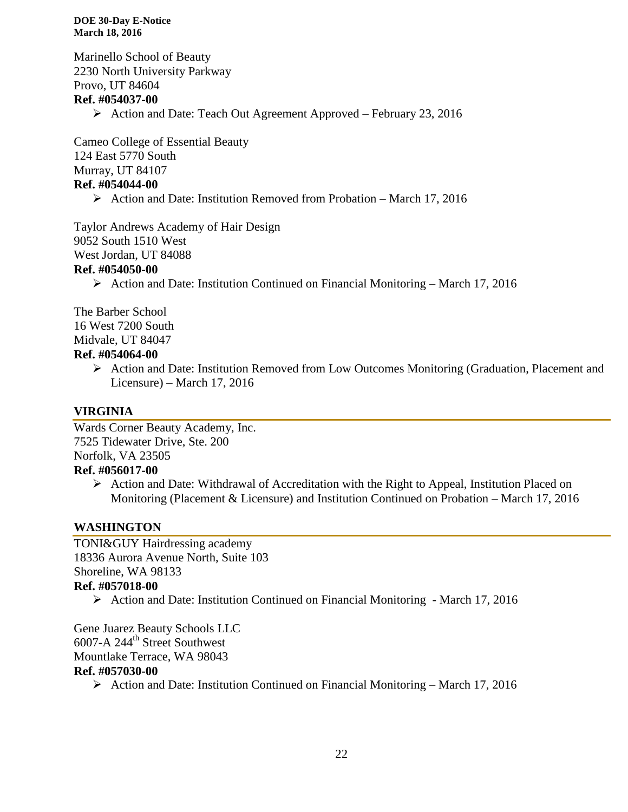Marinello School of Beauty 2230 North University Parkway Provo, UT 84604 **Ref. #054037-00** Action and Date: Teach Out Agreement Approved – February 23, 2016

Cameo College of Essential Beauty 124 East 5770 South Murray, UT 84107 **Ref. #054044-00**

 $\triangleright$  Action and Date: Institution Removed from Probation – March 17, 2016

Taylor Andrews Academy of Hair Design 9052 South 1510 West West Jordan, UT 84088

#### **Ref. #054050-00**

 $\triangleright$  Action and Date: Institution Continued on Financial Monitoring – March 17, 2016

The Barber School 16 West 7200 South Midvale, UT 84047 **Ref. #054064-00**

> $\triangleright$  Action and Date: Institution Removed from Low Outcomes Monitoring (Graduation, Placement and Licensure) – March 17, 2016

### **VIRGINIA**

Wards Corner Beauty Academy, Inc. 7525 Tidewater Drive, Ste. 200 Norfolk, VA 23505 **Ref. #056017-00**

 $\triangleright$  Action and Date: Withdrawal of Accreditation with the Right to Appeal, Institution Placed on Monitoring (Placement & Licensure) and Institution Continued on Probation – March 17, 2016

### **WASHINGTON**

TONI&GUY Hairdressing academy 18336 Aurora Avenue North, Suite 103 Shoreline, WA 98133 **Ref. #057018-00**

Action and Date: Institution Continued on Financial Monitoring - March 17, 2016

Gene Juarez Beauty Schools LLC 6007-A 244th Street Southwest Mountlake Terrace, WA 98043 **Ref. #057030-00**

Action and Date: Institution Continued on Financial Monitoring – March 17, 2016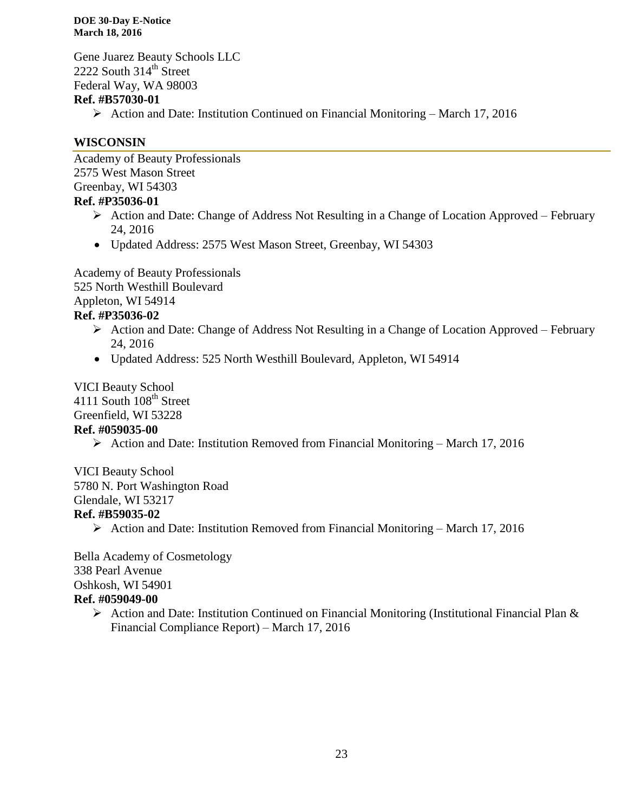Gene Juarez Beauty Schools LLC 2222 South  $314<sup>th</sup>$  Street Federal Way, WA 98003

#### **Ref. #B57030-01**

 $\triangleright$  Action and Date: Institution Continued on Financial Monitoring – March 17, 2016

#### **WISCONSIN**

Academy of Beauty Professionals 2575 West Mason Street Greenbay, WI 54303 **Ref. #P35036-01**

- Action and Date: Change of Address Not Resulting in a Change of Location Approved February 24, 2016
- Updated Address: 2575 West Mason Street, Greenbay, WI 54303

Academy of Beauty Professionals 525 North Westhill Boulevard Appleton, WI 54914 **Ref. #P35036-02**

- $\triangleright$  Action and Date: Change of Address Not Resulting in a Change of Location Approved February 24, 2016
- Updated Address: 525 North Westhill Boulevard, Appleton, WI 54914

VICI Beauty School 4111 South 108<sup>th</sup> Street Greenfield, WI 53228

#### **Ref. #059035-00**

 $\triangleright$  Action and Date: Institution Removed from Financial Monitoring – March 17, 2016

VICI Beauty School 5780 N. Port Washington Road Glendale, WI 53217 **Ref. #B59035-02**

Action and Date: Institution Removed from Financial Monitoring – March 17, 2016

Bella Academy of Cosmetology 338 Pearl Avenue Oshkosh, WI 54901 **Ref. #059049-00**

> $\triangleright$  Action and Date: Institution Continued on Financial Monitoring (Institutional Financial Plan & Financial Compliance Report) – March 17, 2016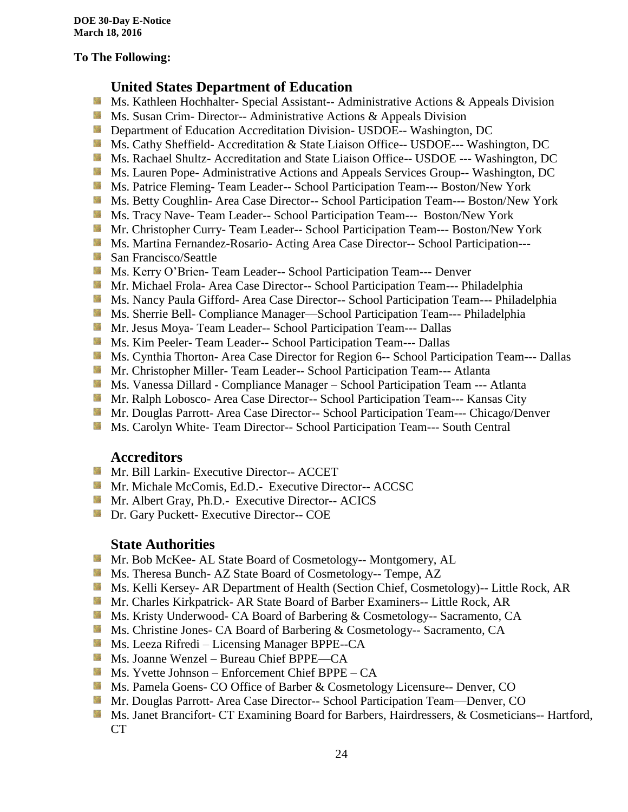#### **To The Following:**

### **United States Department of Education**

- SB. Ms. Kathleen Hochhalter- Special Assistant-- Administrative Actions & Appeals Division
- **Ms.** Susan Crim-Director-- Administrative Actions  $\&$  Appeals Division
- **Department of Education Accreditation Division- USDOE-- Washington, DC**
- Ms. Cathy Sheffield- Accreditation & State Liaison Office-- USDOE--- Washington, DC
- **Ms. Rachael Shultz- Accreditation and State Liaison Office-- USDOE --- Washington, DC**
- Ms. Lauren Pope- Administrative Actions and Appeals Services Group-- Washington, DC
- Ms. Patrice Fleming-Team Leader-- School Participation Team--- Boston/New York
- **MS. Betty Coughlin- Area Case Director-- School Participation Team--- Boston/New York**
- Ms. Tracy Nave-Team Leader-- School Participation Team--- Boston/New York
- **Mr. Christopher Curry- Team Leader-- School Participation Team--- Boston/New York**
- **Ms. Martina Fernandez-Rosario-Acting Area Case Director-- School Participation---**
- **San Francisco/Seattle**
- **MS. Kerry O'Brien- Team Leader-- School Participation Team--- Denver**
- **Mr. Michael Frola- Area Case Director-- School Participation Team--- Philadelphia**
- **Ms. Nancy Paula Gifford- Area Case Director-- School Participation Team--- Philadelphia**
- Ms. Sherrie Bell- Compliance Manager—School Participation Team--- Philadelphia
- **Mr. Jesus Moya- Team Leader-- School Participation Team--- Dallas**
- **MS. Kim Peeler- Team Leader-- School Participation Team--- Dallas**
- **Ms. Cynthia Thorton- Area Case Director for Region 6-- School Participation Team--- Dallas**
- **Mr. Christopher Miller-Team Leader-- School Participation Team--- Atlanta**
- **MS. Vanessa Dillard Compliance Manager School Participation Team --- Atlanta**
- Mr. Ralph Lobosco- Area Case Director-- School Participation Team--- Kansas City
- **Mr. Douglas Parrott- Area Case Director-- School Participation Team--- Chicago/Denver**
- **MS. Carolyn White-Team Director-- School Participation Team--- South Central**

#### **Accreditors**

- **Mr. Bill Larkin- Executive Director-- ACCET**
- **Mr. Michale McComis, Ed.D.- Executive Director-- ACCSC**
- **Mr.** Albert Gray, Ph.D.- Executive Director-- ACICS
- **Dr.** Gary Puckett- Executive Director-- COE

#### **State Authorities**

- Mr. Bob McKee- AL State Board of Cosmetology-- Montgomery, AL
- Ms. Theresa Bunch- AZ State Board of Cosmetology-- Tempe, AZ
- **Ms. Kelli Kersey- AR Department of Health (Section Chief, Cosmetology)**-- Little Rock, AR
- Mr. Charles Kirkpatrick- AR State Board of Barber Examiners-- Little Rock, AR
- Ms. Kristy Underwood- CA Board of Barbering & Cosmetology-- Sacramento, CA
- **Ms.** Christine Jones- CA Board of Barbering & Cosmetology-- Sacramento, CA
- Ms. Leeza Rifredi Licensing Manager BPPE--CA
- Ms. Joanne Wenzel Bureau Chief BPPE—CA
- $M_s$  Ms. Yvette Johnson Enforcement Chief BPPE CA
- **Ms. Pamela Goens- CO Office of Barber & Cosmetology Licensure-- Denver, CO**
- Mr. Douglas Parrott- Area Case Director-- School Participation Team—Denver, CO
- **Ms. Janet Brancifort- CT Examining Board for Barbers, Hairdressers, & Cosmeticians-- Hartford,** CT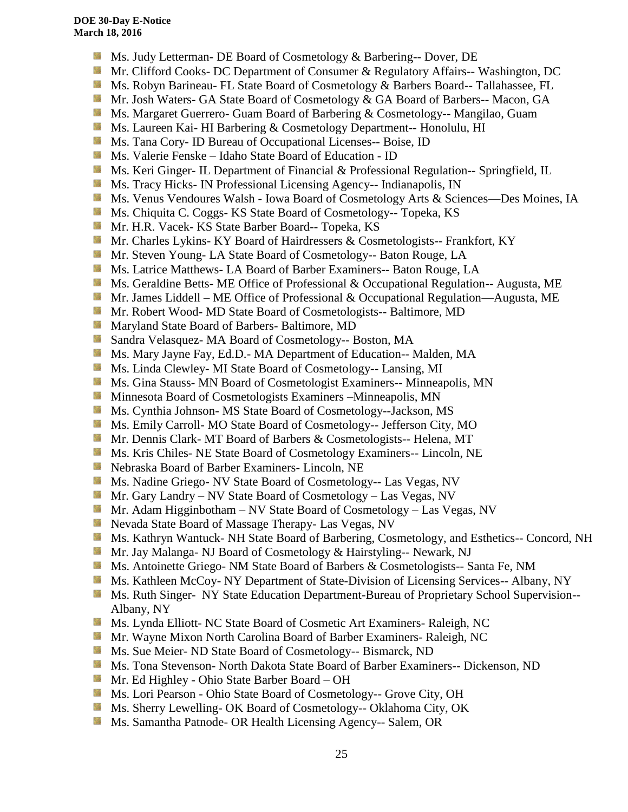- Ms. Judy Letterman- DE Board of Cosmetology & Barbering-- Dover, DE
- Mr. Clifford Cooks- DC Department of Consumer & Regulatory Affairs-- Washington, DC
- **Ms. Robyn Barineau- FL State Board of Cosmetology & Barbers Board-- Tallahassee, FL**
- **Mr.** Josh Waters- GA State Board of Cosmetology & GA Board of Barbers-- Macon, GA
- **MS. Margaret Guerrero- Guam Board of Barbering & Cosmetology-- Mangilao, Guam**
- **Ms. Laureen Kai- HI Barbering & Cosmetology Department-- Honolulu, HI**
- **Ms.** Tana Cory- ID Bureau of Occupational Licenses-- Boise, ID
- Ms. Valerie Fenske Idaho State Board of Education ID
- Side. Ms. Keri Ginger- IL Department of Financial & Professional Regulation-- Springfield, IL
- **Ms.** Tracy Hicks- IN Professional Licensing Agency-- Indianapolis, IN
- Ms. Venus Vendoures Walsh Iowa Board of Cosmetology Arts & Sciences—Des Moines, IA
- 56 Ms. Chiquita C. Coggs- KS State Board of Cosmetology-- Topeka, KS
- Mr. H.R. Vacek- KS State Barber Board-- Topeka, KS
- Mr. Charles Lykins- KY Board of Hairdressers & Cosmetologists-- Frankfort, KY
- **Mr. Steven Young- LA State Board of Cosmetology-- Baton Rouge, LA**
- **Ms. Latrice Matthews- LA Board of Barber Examiners-- Baton Rouge, LA**
- **Ms. Geraldine Betts- ME Office of Professional & Occupational Regulation-- Augusta, ME**
- Mr. James Liddell ME Office of Professional & Occupational Regulation—Augusta, ME
- **Mr. Robert Wood- MD State Board of Cosmetologists-- Baltimore, MD**
- **Maryland State Board of Barbers- Baltimore, MD**
- **Sandra Velasquez- MA Board of Cosmetology-- Boston, MA**
- Ms. Mary Jayne Fay, Ed.D.- MA Department of Education-- Malden, MA
- Ms. Linda Clewley- MI State Board of Cosmetology-- Lansing, MI
- **MS.** Gina Stauss- MN Board of Cosmetologist Examiners-- Minneapolis, MN
- 59 Minnesota Board of Cosmetologists Examiners –Minneapolis, MN
- **Ms. Cynthia Johnson- MS State Board of Cosmetology--Jackson, MS**
- **Ms.** Emily Carroll- MO State Board of Cosmetology-- Jefferson City, MO
- Mr. Dennis Clark- MT Board of Barbers & Cosmetologists-- Helena, MT
- **Ms. Kris Chiles- NE State Board of Cosmetology Examiners-- Lincoln, NE**
- Nebraska Board of Barber Examiners- Lincoln, NE
- **Ms. Nadine Griego- NV State Board of Cosmetology-- Las Vegas, NV**
- Mr. Gary Landry NV State Board of Cosmetology Las Vegas, NV
- **Mr.** Adam Higginbotham NV State Board of Cosmetology Las Vegas, NV
- Nevada State Board of Massage Therapy- Las Vegas, NV
- **Ms. Kathryn Wantuck- NH State Board of Barbering, Cosmetology, and Esthetics-- Concord, NH**
- Mr. Jay Malanga- NJ Board of Cosmetology & Hairstyling-- Newark, NJ
- **MS.** Antoinette Griego- NM State Board of Barbers & Cosmetologists-- Santa Fe, NM
- **Ms. Kathleen McCoy- NY Department of State-Division of Licensing Services-- Albany, NY**
- **Ms. Ruth Singer- NY State Education Department-Bureau of Proprietary School Supervision--**Albany, NY
- **Ms. Lynda Elliott- NC State Board of Cosmetic Art Examiners- Raleigh, NC**
- Mr. Wayne Mixon North Carolina Board of Barber Examiners- Raleigh, NC
- Ms. Sue Meier- ND State Board of Cosmetology-- Bismarck, ND
- **Ms. Tona Stevenson- North Dakota State Board of Barber Examiners-- Dickenson, ND**
- Mr. Ed Highley Ohio State Barber Board OH
- Ms. Lori Pearson Ohio State Board of Cosmetology-- Grove City, OH
- **Ms.** Sherry Lewelling- OK Board of Cosmetology-- Oklahoma City, OK
- **Ms. Samantha Patnode- OR Health Licensing Agency-- Salem, OR**